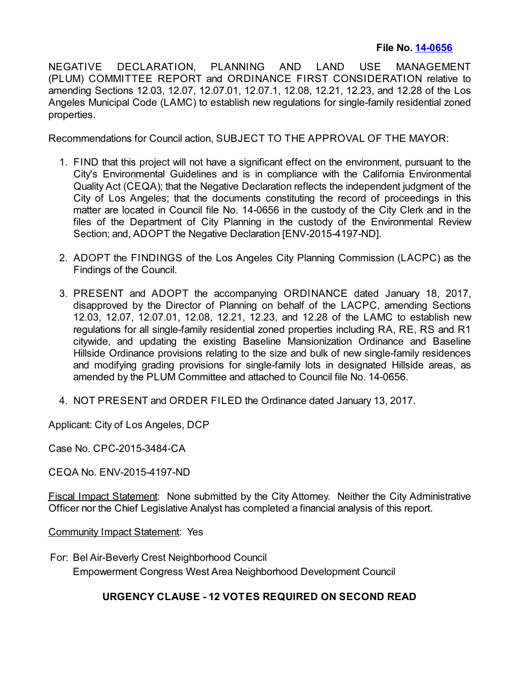# **File No. [14-0656](https://cityclerk.lacity.org/lacityclerkconnect/index.cfm?fa=ccfi.viewrecord&cfnumber=14-0656)**

NEGATIVE DECLARATION, PLANNING AND LAND USE MANAGEMENT (PLUM) COMMITTEE REPORT and ORDINANCE FIRST CONSIDERATION relative to amending Sections 12.03, 12.07, 12.07.01, 12.07.1, 12.08, 12.21, 12.23, and 12.28 of the Los Angeles Municipal Code (LAMC) to establish new regulations for single-family residential zoned properties.

Recommendations for Council action, SUBJECT TO THE APPROVAL OF THE MAYOR:

- 1. FIND that this project will not have a significant effect on the environment, pursuant to the City's Environmental Guidelines and is in compliance with the California Environmental Quality Act (CEQA); that the Negative Declaration reflects the independent judgment of the City of Los Angeles; that the documents constituting the record of proceedings in this matter are located in Council file No. 14-0656 in the custody of the City Clerk and in the files of the Department of City Planning in the custody of the Environmental Review Section; and, ADOPT the Negative Declaration [ENV-2015-4197-ND].
- 2. ADOPT the FINDINGS of the Los Angeles City Planning Commission (LACPC) as the Findings of the Council.
- 3. PRESENT and ADOPT the accompanying ORDINANCE dated January 18, 2017, disapproved by the Director of Planning on behalf of the LACPC, amending Sections 12.03, 12.07, 12.07.01, 12.08, 12.21, 12.23, and 12.28 of the LAMC to establish new regulations for all single-family residential zoned properties including RA, RE, RS and R1 citywide, and updating the existing Baseline Mansionization Ordinance and Baseline Hillside Ordinance provisions relating to the size and bulk of new single-family residences and modifying grading provisions for single-family lots in designated Hillside areas, as amended by the PLUM Committee and attached to Council file No. 14-0656.
- 4. NOT PRESENT and ORDER FILED the Ordinance dated January 13, 2017.

Applicant: City of Los Angeles, DCP

Case No. CPC-2015-3484-CA

CEQA No. ENV-2015-4197-ND

Fiscal Impact Statement: None submitted by the City Attorney. Neither the City Administrative Officer nor the Chief Legislative Analyst has completed a financial analysis of this report.

Community Impact Statement: Yes

For: Bel Air-Beverly Crest Neighborhood Council Empowerment Congress West Area Neighborhood Development Council

# **URGENCY CLAUSE - 12 VOTES REQUIRED ON SECOND READ**